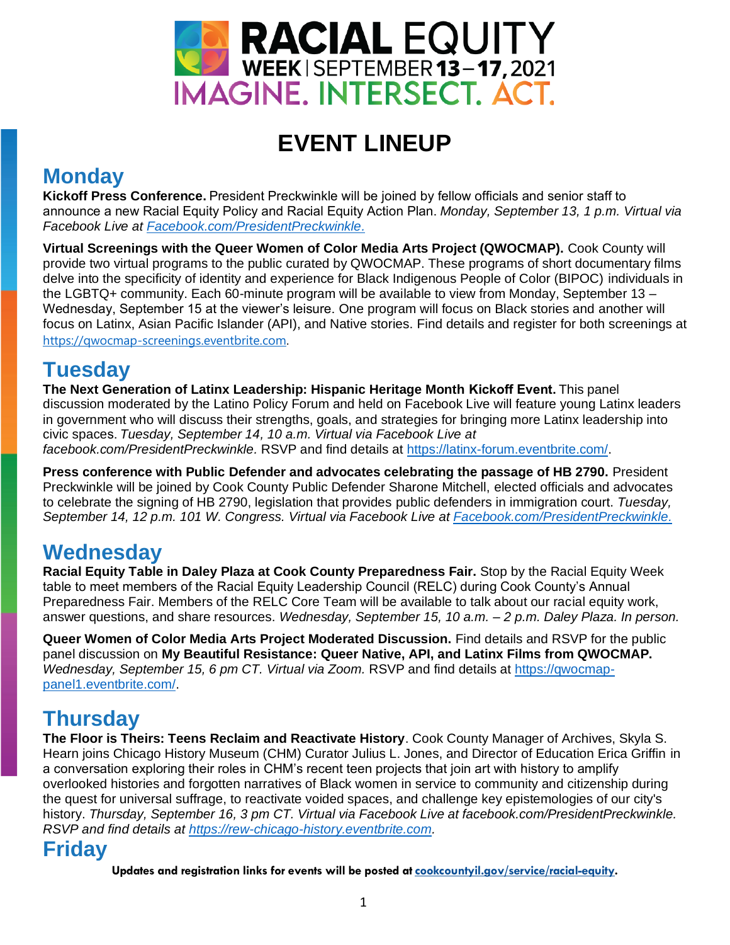

# **EVENT LINEUP**

## **Monday**

**Kickoff Press Conference.** President Preckwinkle will be joined by fellow officials and senior staff to announce a new Racial Equity Policy and Racial Equity Action Plan. *Monday, September 13, 1 p.m. Virtual via Facebook Live at [Facebook.com/PresidentPreckwinkle.](https://www.facebook.com/PresidentPreckwinkle)*

**Virtual Screenings with the Queer Women of Color Media Arts Project (QWOCMAP).** Cook County will provide two virtual programs to the public curated by QWOCMAP. These programs of short documentary films delve into the specificity of identity and experience for Black Indigenous People of Color (BIPOC) individuals in the LGBTQ+ community. Each 60-minute program will be available to view from Monday, September 13 – Wednesday, September 15 at the viewer's leisure. One program will focus on Black stories and another will focus on Latinx, Asian Pacific Islander (API), and Native stories. Find details and register for both screenings at [https://qwocmap-screenings.eventbrite.com.](https://qwocmap-screenings.eventbrite.com/)

### **Tuesday**

**The Next Generation of Latinx Leadership: Hispanic Heritage Month Kickoff Event.**This panel discussion moderated by the Latino Policy Forum and held on Facebook Live will feature young Latinx leaders in government who will discuss their strengths, goals, and strategies for bringing more Latinx leadership into civic spaces. *Tuesday, September 14, 10 a.m. Virtual via Facebook Live at facebook.com/PresidentPreckwinkle.* RSVP and find details at [https://latinx-forum.eventbrite.com/.](https://latinx-forum.eventbrite.com/)

**Press conference with Public Defender and advocates celebrating the passage of HB 2790.** President Preckwinkle will be joined by Cook County Public Defender Sharone Mitchell, elected officials and advocates to celebrate the signing of HB 2790, legislation that provides public defenders in immigration court. *Tuesday, September 14, 12 p.m. 101 W. Congress. Virtual via Facebook Live at [Facebook.com/PresidentPreckwinkle.](https://www.facebook.com/PresidentPreckwinkle)*

## **Wednesday**

**Racial Equity Table in Daley Plaza at Cook County Preparedness Fair.** Stop by the Racial Equity Week table to meet members of the Racial Equity Leadership Council (RELC) during Cook County's Annual Preparedness Fair. Members of the RELC Core Team will be available to talk about our racial equity work, answer questions, and share resources. *Wednesday, September 15, 10 a.m. – 2 p.m. Daley Plaza. In person.*

**Queer Women of Color Media Arts Project Moderated Discussion.** Find details and RSVP for the public panel discussion on **My Beautiful Resistance: Queer Native, API, and Latinx Films from QWOCMAP.** *Wednesday, September 15, 6 pm CT. Virtual via Zoom.* RSVP and find details at [https://qwocmap](https://qwocmap-panel1.eventbrite.com/)[panel1.eventbrite.com/.](https://qwocmap-panel1.eventbrite.com/)

## **Thursday**

**The Floor is Theirs: Teens Reclaim and Reactivate History**. Cook County Manager of Archives, Skyla S. Hearn joins Chicago History Museum (CHM) Curator Julius L. Jones, and Director of Education Erica Griffin in a conversation exploring their roles in CHM's recent teen projects that join art with history to amplify overlooked histories and forgotten narratives of Black women in service to community and citizenship during the quest for universal suffrage, to reactivate voided spaces, and challenge key epistemologies of our city's history. *Thursday, September 16, 3 pm CT. Virtual via Facebook Live at facebook.com/PresidentPreckwinkle. RSVP and find details at [https://rew-chicago-history.eventbrite.com.](https://rew-chicago-history.eventbrite.com/)*

### **Friday**

**Updates and registration links for events will be posted at [cookcountyil.gov/service/racial-equity.](http://www.cookcountyil.gov/service/racial-equity?utm_medium=email&utm_source=govdelivery)**